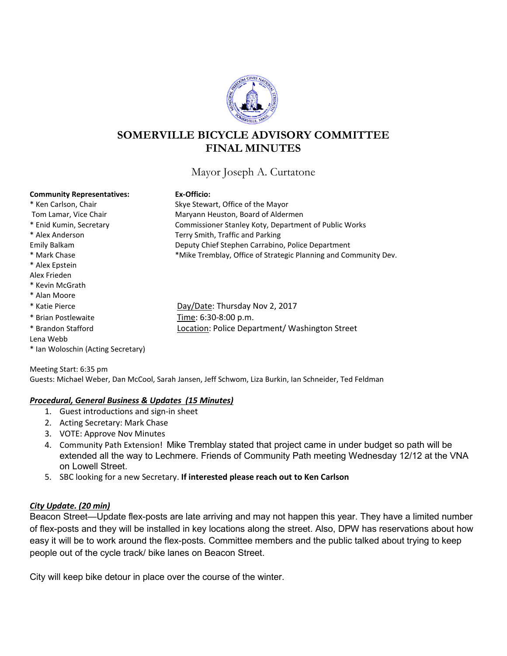

# **SOMERVILLE BICYCLE ADVISORY COMMITTEE FINAL MINUTES**

Mayor Joseph A. Curtatone

### **Community Representatives: Ex-Officio:**

| CONNINGING, ISC DI COCHILIBULOS.   |                                                                 |
|------------------------------------|-----------------------------------------------------------------|
| * Ken Carlson, Chair               | Skye Stewart, Office of the Mayor                               |
| Tom Lamar, Vice Chair              | Maryann Heuston, Board of Aldermen                              |
| * Enid Kumin, Secretary            | Commissioner Stanley Koty, Department of Public Works           |
| * Alex Anderson                    | Terry Smith, Traffic and Parking                                |
| Emily Balkam                       | Deputy Chief Stephen Carrabino, Police Department               |
| * Mark Chase                       | *Mike Tremblay, Office of Strategic Planning and Community Dev. |
| * Alex Epstein                     |                                                                 |
| Alex Frieden                       |                                                                 |
| * Kevin McGrath                    |                                                                 |
| * Alan Moore                       |                                                                 |
| * Katie Pierce                     | Day/Date: Thursday Nov 2, 2017                                  |
| * Brian Postlewaite                | Time: 6:30-8:00 p.m.                                            |
| * Brandon Stafford                 | Location: Police Department/ Washington Street                  |
| Lena Webb                          |                                                                 |
| * Ian Woloschin (Acting Secretary) |                                                                 |

Meeting Start: 6:35 pm Guests: Michael Weber, Dan McCool, Sarah Jansen, Jeff Schwom, Liza Burkin, Ian Schneider, Ted Feldman

#### *Procedural, General Business & Updates (15 Minutes)*

- 1. Guest introductions and sign-in sheet
- 2. Acting Secretary: Mark Chase
- 3. VOTE: Approve Nov Minutes
- 4. Community Path Extension! Mike Tremblay stated that project came in under budget so path will be extended all the way to Lechmere. Friends of Community Path meeting Wednesday 12/12 at the VNA on Lowell Street.
- 5. SBC looking for a new Secretary. **If interested please reach out to Ken Carlson**

### *City Update. (20 min)*

Beacon Street—Update flex-posts are late arriving and may not happen this year. They have a limited number of flex-posts and they will be installed in key locations along the street. Also, DPW has reservations about how easy it will be to work around the flex-posts. Committee members and the public talked about trying to keep people out of the cycle track/ bike lanes on Beacon Street.

City will keep bike detour in place over the course of the winter.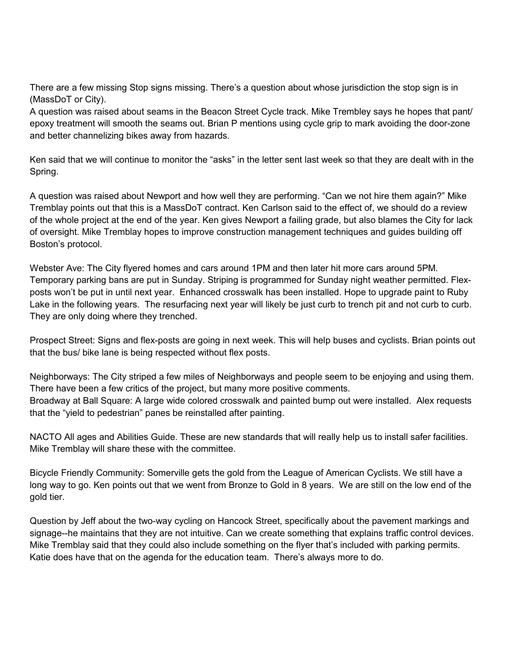There are a few missing Stop signs missing. There's a question about whose jurisdiction the stop sign is in (MassDoT or City).

A question was raised about seams in the Beacon Street Cycle track. Mike Trembley says he hopes that pant/ epoxy treatment will smooth the seams out. Brian P mentions using cycle grip to mark avoiding the door-zone and better channelizing bikes away from hazards.

Ken said that we will continue to monitor the "asks" in the letter sent last week so that they are dealt with in the Spring.

A question was raised about Newport and how well they are performing. "Can we not hire them again?" Mike Tremblay points out that this is a MassDoT contract. Ken Carlson said to the effect of, we should do a review of the whole project at the end of the year. Ken gives Newport a failing grade, but also blames the City for lack of oversight. Mike Tremblay hopes to improve construction management techniques and guides building off Boston's protocol.

Webster Ave: The City flyered homes and cars around 1PM and then later hit more cars around 5PM. Temporary parking bans are put in Sunday. Striping is programmed for Sunday night weather permitted. Flexposts won't be put in until next year. Enhanced crosswalk has been installed. Hope to upgrade paint to Ruby Lake in the following years. The resurfacing next year will likely be just curb to trench pit and not curb to curb. They are only doing where they trenched.

Prospect Street: Signs and flex-posts are going in next week. This will help buses and cyclists. Brian points out that the bus/ bike lane is being respected without flex posts.

Neighborways: The City striped a few miles of Neighborways and people seem to be enjoying and using them. There have been a few critics of the project, but many more positive comments. Broadway at Ball Square: A large wide colored crosswalk and painted bump out were installed. Alex requests that the "yield to pedestrian" panes be reinstalled after painting.

NACTO All ages and Abilities Guide. These are new standards that will really help us to install safer facilities. Mike Tremblay will share these with the committee.

Bicycle Friendly Community: Somerville gets the gold from the League of American Cyclists. We still have a long way to go. Ken points out that we went from Bronze to Gold in 8 years. We are still on the low end of the gold tier.

Question by Jeff about the two-way cycling on Hancock Street, specifically about the pavement markings and signage--he maintains that they are not intuitive. Can we create something that explains traffic control devices. Mike Tremblay said that they could also include something on the flyer that's included with parking permits. Katie does have that on the agenda for the education team. There's always more to do.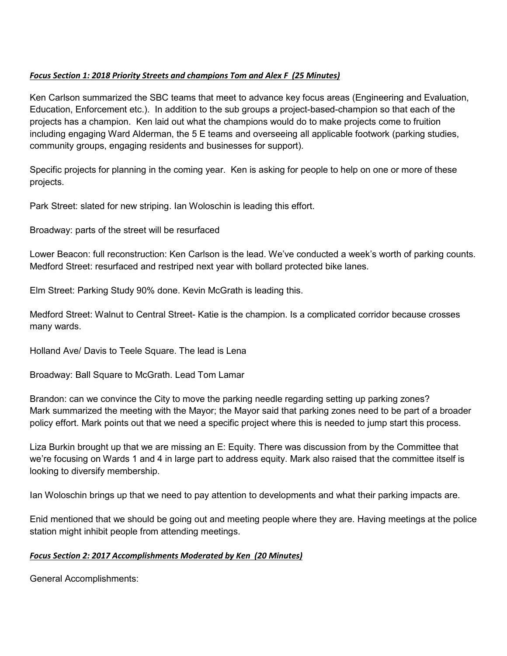### *Focus Section 1: 2018 Priority Streets and champions Tom and Alex F (25 Minutes)*

Ken Carlson summarized the SBC teams that meet to advance key focus areas (Engineering and Evaluation, Education, Enforcement etc.). In addition to the sub groups a project-based-champion so that each of the projects has a champion. Ken laid out what the champions would do to make projects come to fruition including engaging Ward Alderman, the 5 E teams and overseeing all applicable footwork (parking studies, community groups, engaging residents and businesses for support).

Specific projects for planning in the coming year. Ken is asking for people to help on one or more of these projects.

Park Street: slated for new striping. Ian Woloschin is leading this effort.

Broadway: parts of the street will be resurfaced

Lower Beacon: full reconstruction: Ken Carlson is the lead. We've conducted a week's worth of parking counts. Medford Street: resurfaced and restriped next year with bollard protected bike lanes.

Elm Street: Parking Study 90% done. Kevin McGrath is leading this.

Medford Street: Walnut to Central Street- Katie is the champion. Is a complicated corridor because crosses many wards.

Holland Ave/ Davis to Teele Square. The lead is Lena

Broadway: Ball Square to McGrath. Lead Tom Lamar

Brandon: can we convince the City to move the parking needle regarding setting up parking zones? Mark summarized the meeting with the Mayor; the Mayor said that parking zones need to be part of a broader policy effort. Mark points out that we need a specific project where this is needed to jump start this process.

Liza Burkin brought up that we are missing an E: Equity. There was discussion from by the Committee that we're focusing on Wards 1 and 4 in large part to address equity. Mark also raised that the committee itself is looking to diversify membership.

Ian Woloschin brings up that we need to pay attention to developments and what their parking impacts are.

Enid mentioned that we should be going out and meeting people where they are. Having meetings at the police station might inhibit people from attending meetings.

### *Focus Section 2: 2017 Accomplishments Moderated by Ken (20 Minutes)*

General Accomplishments: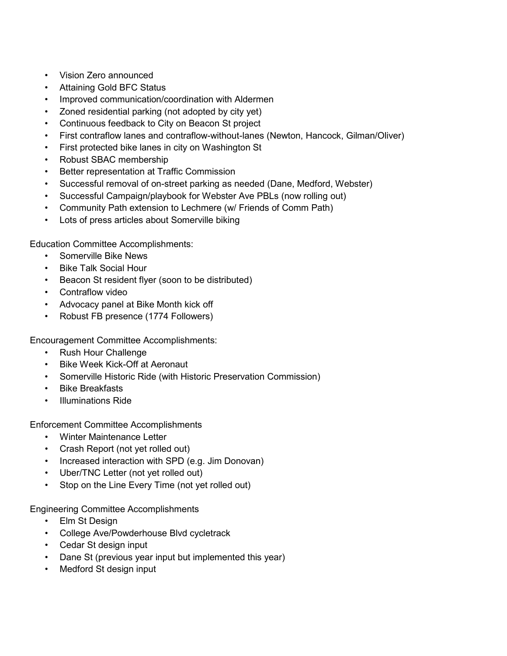- Vision Zero announced
- Attaining Gold BFC Status
- Improved communication/coordination with Aldermen
- Zoned residential parking (not adopted by city yet)
- Continuous feedback to City on Beacon St project
- First contraflow lanes and contraflow-without-lanes (Newton, Hancock, Gilman/Oliver)
- First protected bike lanes in city on Washington St
- Robust SBAC membership
- Better representation at Traffic Commission
- Successful removal of on-street parking as needed (Dane, Medford, Webster)
- Successful Campaign/playbook for Webster Ave PBLs (now rolling out)
- Community Path extension to Lechmere (w/ Friends of Comm Path)
- Lots of press articles about Somerville biking

Education Committee Accomplishments:

- Somerville Bike News
- Bike Talk Social Hour
- Beacon St resident flyer (soon to be distributed)
- Contraflow video
- Advocacy panel at Bike Month kick off
- Robust FB presence (1774 Followers)

Encouragement Committee Accomplishments:

- Rush Hour Challenge
- Bike Week Kick-Off at Aeronaut
- Somerville Historic Ride (with Historic Preservation Commission)
- Bike Breakfasts
- Illuminations Ride

Enforcement Committee Accomplishments

- Winter Maintenance Letter
- Crash Report (not yet rolled out)
- Increased interaction with SPD (e.g. Jim Donovan)
- Uber/TNC Letter (not yet rolled out)
- Stop on the Line Every Time (not yet rolled out)

Engineering Committee Accomplishments

- Elm St Design
- College Ave/Powderhouse Blvd cycletrack
- Cedar St design input
- Dane St (previous year input but implemented this year)
- Medford St design input